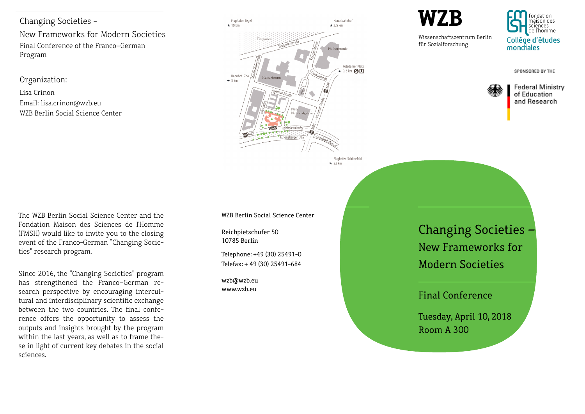Changing Societies -

New Frameworks for Modern Societies Final Conference of the Franco–German Program

Organization:

Lisa Crinon Email: lisa.crinon@wzb.eu WZB Berlin Social Science Center



Flughafen Schönefeld  $\frac{1}{2}$  23 km

WZB Berlin Social Science Center

Reichpietschufer 50 10785 Berlin

Telephone: +49 (30) 25491-0 Telefax: + 49 (30) 25491-684

wzb@wzb.eu www.wzb.eu

Changing Societies – New Frameworks for Modern Societies

# Final Conference

Tuesday, April 10, 2018 Room A 300

The WZB Berlin Social Science Center and the Fondation Maison des Sciences de l'Homme (FMSH) would like to invite you to the closing event of the Franco-German "Changing Societies" research program.

Since 2016, the "Changing Societies" program has strengthened the Franco–German research perspective by encouraging intercultural and interdisciplinary scientific exchange between the two countries. The final conference offers the opportunity to assess the outputs and insights brought by the program within the last years, as well as to frame these in light of current key debates in the social sciences.

**WZB**

Wissenschaftszentrum Berlin für Sozialforschung

fondation maison des sciences de l'homme Collège d'études mondiales

SPONSORED BY THE